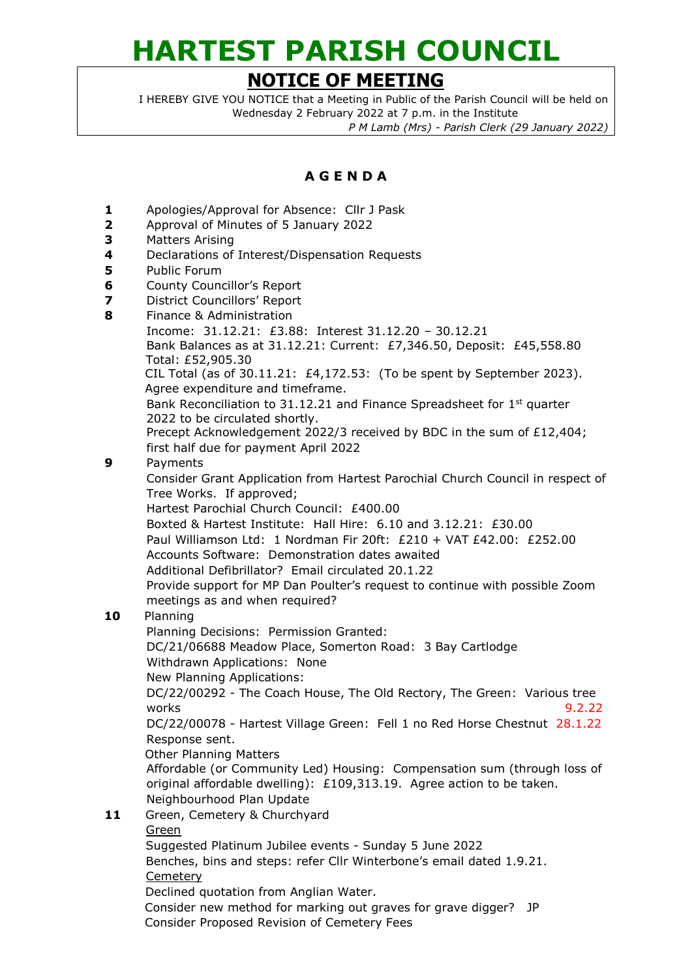## **HARTEST PARISH COUNCIL**

## **NOTICE OF MEETING**

I HEREBY GIVE YOU NOTICE that a Meeting in Public of the Parish Council will be held on Wednesday 2 February 2022 at 7 p.m. in the Institute

*P M Lamb (Mrs) - Parish Clerk (29 January 2022)*

## **A G E N D A**

- **1** Apologies/Approval for Absence: Cllr J Pask
- **2** Approval of Minutes of 5 January 2022
- **3** Matters Arising
- **4** Declarations of Interest/Dispensation Requests
- **5** Public Forum
- **6** County Councillor's Report
- **7** District Councillors' Report
- **8** Finance & Administration
	- Income: 31.12.21: £3.88: Interest 31.12.20 30.12.21

Bank Balances as at 31.12.21: Current: £7,346.50, Deposit: £45,558.80 Total: £52,905.30

CIL Total (as of 30.11.21: £4,172.53: (To be spent by September 2023). Agree expenditure and timeframe.

Bank Reconciliation to 31.12.21 and Finance Spreadsheet for 1<sup>st</sup> quarter 2022 to be circulated shortly.

Precept Acknowledgement 2022/3 received by BDC in the sum of £12,404; first half due for payment April 2022

**9** Payments

Consider Grant Application from Hartest Parochial Church Council in respect of Tree Works. If approved;

Hartest Parochial Church Council: £400.00

Boxted & Hartest Institute: Hall Hire: 6.10 and 3.12.21: £30.00 Paul Williamson Ltd: 1 Nordman Fir 20ft:  $£210 + \sqrt{AT} £42.00$ :  $£252.00$ 

Accounts Software: Demonstration dates awaited

Additional Defibrillator? Email circulated 20.1.22

Provide support for MP Dan Poulter's request to continue with possible Zoom meetings as and when required?

## **10** Planning

Planning Decisions: Permission Granted: DC/21/06688 Meadow Place, Somerton Road: 3 Bay Cartlodge

Withdrawn Applications: None

New Planning Applications:

DC/22/00292 - The Coach House, The Old Rectory, The Green: Various tree works 9.2.22

DC/22/00078 - Hartest Village Green: Fell 1 no Red Horse Chestnut 28.1.22 Response sent.

Other Planning Matters

Affordable (or Community Led) Housing: Compensation sum (through loss of original affordable dwelling): £109,313.19. Agree action to be taken. Neighbourhood Plan Update

11 Green, Cemetery & Churchyard

 Green Suggested Platinum Jubilee events - Sunday 5 June 2022 Benches, bins and steps: refer Cllr Winterbone's email dated 1.9.21. **Cemetery**  Declined quotation from Anglian Water. Consider new method for marking out graves for grave digger? JP Consider Proposed Revision of Cemetery Fees